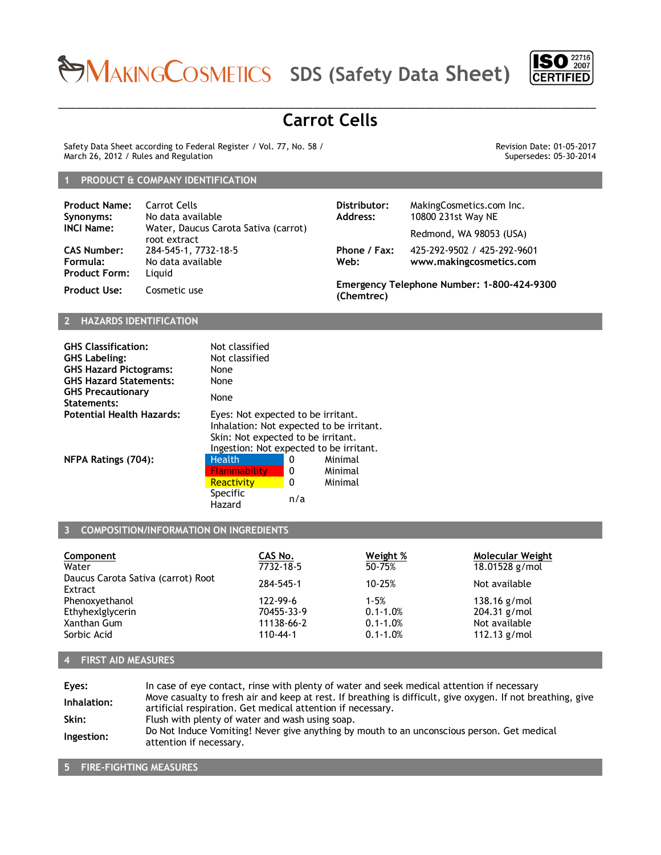# **SDS (Safety Data Sheet)**



## \_\_\_\_\_\_\_\_\_\_\_\_\_\_\_\_\_\_\_\_\_\_\_\_\_\_\_\_\_\_\_\_\_\_\_\_\_\_\_\_\_\_\_\_\_\_\_\_\_\_\_\_\_\_\_\_\_\_\_\_\_\_\_\_\_\_\_\_\_\_\_\_\_\_\_\_\_\_\_\_\_\_\_\_\_\_\_\_\_\_\_ **Carrot Cells**

Safety Data Sheet according to Federal Register / Vol. 77, No. 58 / March 26, 2012 / Rules and Regulation

Revision Date: 01-05-2017 Supersedes: 05-30-2014

#### **1 PRODUCT & COMPANY IDENTIFICATION**

| <b>Product Name:</b><br>Synonyms:                      | Carrot Cells<br>No data available                    | Distributor:<br>Address: | MakingCosmetics.com Inc.<br>10800 231st Way NE         |
|--------------------------------------------------------|------------------------------------------------------|--------------------------|--------------------------------------------------------|
| <b>INCI Name:</b>                                      | Water, Daucus Carota Sativa (carrot)<br>root extract |                          | Redmond, WA 98053 (USA)                                |
| <b>CAS Number:</b><br>Formula:<br><b>Product Form:</b> | 284-545-1, 7732-18-5<br>No data available<br>Liauid  | Phone / Fax:<br>Web:     | 425-292-9502 / 425-292-9601<br>www.makingcosmetics.com |
| <b>Product Use:</b>                                    | Cosmetic use                                         | (Chemtrec)               | Emergency Telephone Number: 1-800-424-9300             |

## **2 HAZARDS IDENTIFICATION**

| <b>GHS Classification:</b><br><b>GHS Labeling:</b><br><b>GHS Hazard Pictograms:</b><br><b>GHS Hazard Statements:</b> | Not classified<br>Not classified<br>None<br>None                                                                    |     |                                          |  |
|----------------------------------------------------------------------------------------------------------------------|---------------------------------------------------------------------------------------------------------------------|-----|------------------------------------------|--|
| GHS Precautionary<br>Statements:                                                                                     | None                                                                                                                |     |                                          |  |
| Potential Health Hazards:                                                                                            | Eyes: Not expected to be irritant.<br>Skin: Not expected to be irritant.<br>Ingestion: Not expected to be irritant. |     | Inhalation: Not expected to be irritant. |  |
| <b>NFPA Ratings (704):</b>                                                                                           | <b>Health</b>                                                                                                       | 0   | Minimal                                  |  |
|                                                                                                                      | <b>Flammability</b>                                                                                                 | 0   | Minimal                                  |  |
|                                                                                                                      | Reactivity                                                                                                          | 0   | Minimal                                  |  |
|                                                                                                                      | Specific<br>Hazard                                                                                                  | n/a |                                          |  |

## **3 COMPOSITION/INFORMATION ON INGREDIENTS**

| Component                                     | CAS No.        | Weight %     | Molecular Weight |
|-----------------------------------------------|----------------|--------------|------------------|
| Water                                         | 7732-18-5      | 50-75%       | 18.01528 g/mol   |
| Daucus Carota Sativa (carrot) Root<br>Extract | 284-545-1      | 10-25%       | Not available    |
| Phenoxyethanol                                | 122-99-6       | $1 - 5%$     | 138.16 $g/mol$   |
| Ethyhexlglycerin                              | 70455-33-9     | $0.1 - 1.0%$ | 204.31 g/mol     |
| Xanthan Gum                                   | 11138-66-2     | $0.1 - 1.0%$ | Not available    |
| Sorbic Acid                                   | $110 - 44 - 1$ | $0.1 - 1.0%$ | 112.13 $g/mol$   |

## **4 FIRST AID MEASURES**

| Eyes:       | In case of eye contact, rinse with plenty of water and seek medical attention if necessary                                                                                 |
|-------------|----------------------------------------------------------------------------------------------------------------------------------------------------------------------------|
| Inhalation: | Move casualty to fresh air and keep at rest. If breathing is difficult, give oxygen. If not breathing, give<br>artificial respiration. Get medical attention if necessary. |
| Skin:       | Flush with plenty of water and wash using soap.                                                                                                                            |
| Ingestion:  | Do Not Induce Vomiting! Never give anything by mouth to an unconscious person. Get medical<br>attention if necessary.                                                      |

#### **5 FIRE-FIGHTING MEASURES**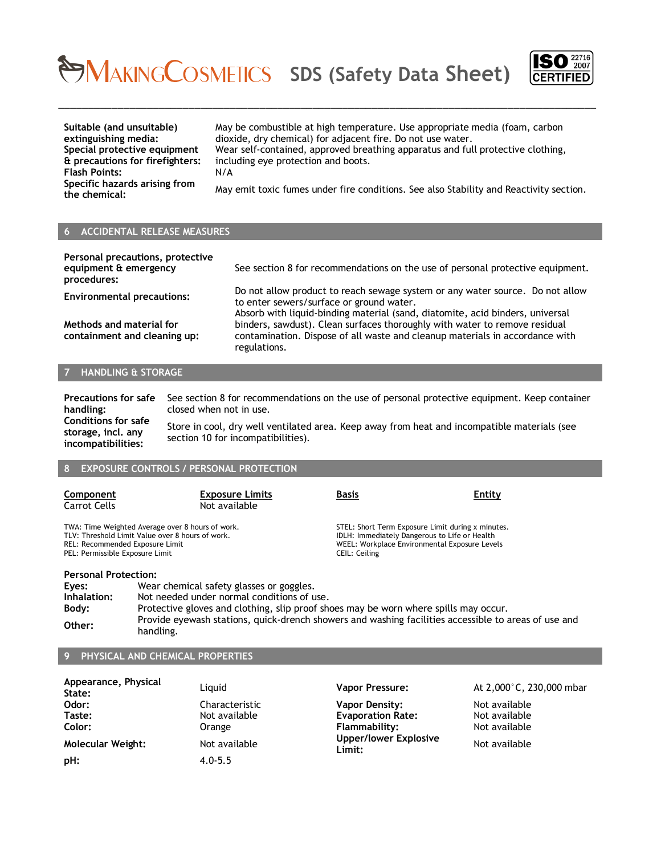## **SDS (Safety Data Sheet)**



**Suitable (and unsuitable) extinguishing media: Special protective equipment & precautions for firefighters: Flash Points:** N/A **Specific hazards arising from** 

May be combustible at high temperature. Use appropriate media (foam, carbon dioxide, dry chemical) for adjacent fire. Do not use water. Wear self-contained, approved breathing apparatus and full protective clothing, including eye protection and boots.

**the chemical:** May emit toxic fumes under fire conditions. See also Stability and Reactivity section.

### **6 ACCIDENTAL RELEASE MEASURES**

| Personal precautions, protective<br>equipment & emergency<br>procedures: | See section 8 for recommendations on the use of personal protective equipment.                                                                                                                             |
|--------------------------------------------------------------------------|------------------------------------------------------------------------------------------------------------------------------------------------------------------------------------------------------------|
| <b>Environmental precautions:</b>                                        | Do not allow product to reach sewage system or any water source. Do not allow<br>to enter sewers/surface or ground water.<br>Absorb with liquid-binding material (sand, diatomite, acid binders, universal |
| Methods and material for<br>containment and cleaning up:                 | binders, sawdust). Clean surfaces thoroughly with water to remove residual<br>contamination. Dispose of all waste and cleanup materials in accordance with<br>regulations.                                 |

\_\_\_\_\_\_\_\_\_\_\_\_\_\_\_\_\_\_\_\_\_\_\_\_\_\_\_\_\_\_\_\_\_\_\_\_\_\_\_\_\_\_\_\_\_\_\_\_\_\_\_\_\_\_\_\_\_\_\_\_\_\_\_\_\_\_\_\_\_\_\_\_\_\_\_\_\_\_\_\_\_\_\_\_\_\_\_\_\_\_\_

#### **7 HANDLING & STORAGE**

**Precautions for safe handling:** See section 8 for recommendations on the use of personal protective equipment. Keep container closed when not in use. **Conditions for safe storage, incl. any incompatibilities:** Store in cool, dry well ventilated area. Keep away from heat and incompatible materials (see section 10 for incompatibilities).

#### **EXPOSURE CONTROLS / PERSONAL PROTECTION**

| Component<br>Carrot Cells                                                                                                                                                  | <b>Exposure Limits</b><br>Not available | Basis         | Entity                                                                                                                                              |  |
|----------------------------------------------------------------------------------------------------------------------------------------------------------------------------|-----------------------------------------|---------------|-----------------------------------------------------------------------------------------------------------------------------------------------------|--|
| TWA: Time Weighted Average over 8 hours of work.<br>TLV: Threshold Limit Value over 8 hours of work.<br>REL: Recommended Exposure Limit<br>PEL: Permissible Exposure Limit |                                         | CEIL: Ceiling | STEL: Short Term Exposure Limit during x minutes.<br>IDLH: Immediately Dangerous to Life or Health<br>WEEL: Workplace Environmental Exposure Levels |  |
| <b>Personal Protection:</b>                                                                                                                                                |                                         |               |                                                                                                                                                     |  |
| Wear chemical safety glasses or goggles.<br>Eyes:                                                                                                                          |                                         |               |                                                                                                                                                     |  |
| Not needed under normal conditions of use.<br>Inhalation:                                                                                                                  |                                         |               |                                                                                                                                                     |  |
| <b>Protective gloves and clothing slip proof shoes may be wern where spills may occur</b><br><b>Rody</b>                                                                   |                                         |               |                                                                                                                                                     |  |

#### **Body:** Protective gloves and clothing, slip proof shoes may be worn where spills may occur. **Other:** Provide eyewash stations, quick-drench showers and washing facilities accessible to areas of use and **Other:** handling.

### **9 PHYSICAL AND CHEMICAL PROPERTIES**

| Appearance, Physical<br>State: | Liguid         | <b>Vapor Pressure:</b>          | At 2,000°C, 230,000 mbar |
|--------------------------------|----------------|---------------------------------|--------------------------|
| Odor:                          | Characteristic | Vapor Density:                  | Not available            |
| Taste:                         | Not available  | <b>Evaporation Rate:</b>        | Not available            |
| Color:                         | Orange         | Flammability:                   | Not available            |
| Molecular Weight:              | Not available  | Upper/lower Explosive<br>Limit: | Not available            |
| pH:                            | $4.0 - 5.5$    |                                 |                          |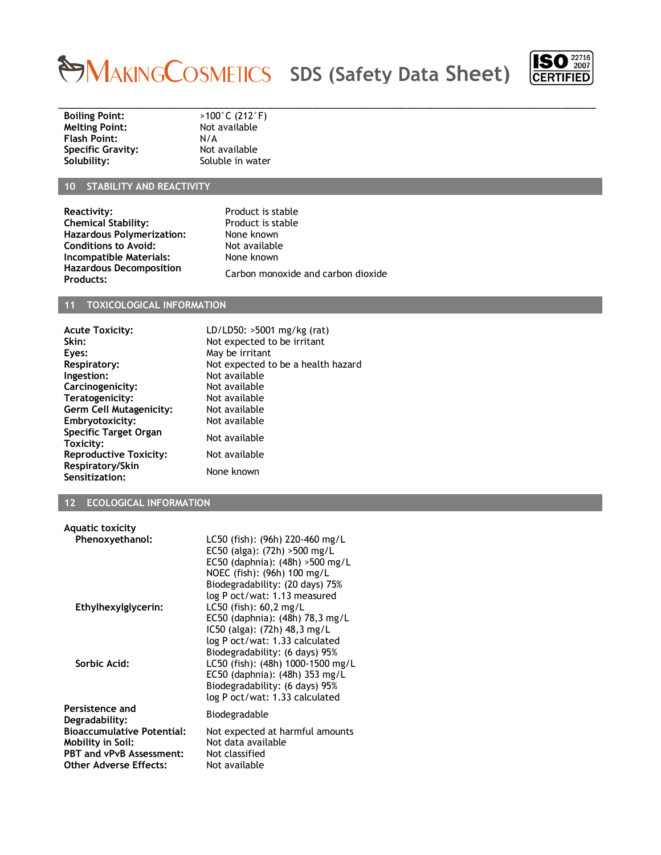## **SDS (Safety Data Sheet)**



**Boiling Point:**  $\longrightarrow$  >100°C (212°F)<br>**Melting Point:** Not available **Melting Point:** Not available Mot and Not and Not are not available Mot and Not are not available Mot and Not a<br> **Flash Point:** N/A **Flash Point:** N/A<br> **Specific Gravity:** Not available **Specific Gravity:**<br>Solubility:

**Soluble in water** 

## **10 STABILITY AND REACTIVITY**

**Reactivity:** Product is stable<br> **Chemical Stability:** Product is stable **Chemical Stability:** Product is st.<br> **Hazardous Polymerization:** None known **Hazardous Polymerization:** None known<br> **Conditions to Avoid:** Not available **Conditions to Avoid:** Not available<br> **Compatible Materials:** None known **Incompatible Materials: Hazardous Decomposition** 

**Products:** Carbon monoxide and carbon dioxide

\_\_\_\_\_\_\_\_\_\_\_\_\_\_\_\_\_\_\_\_\_\_\_\_\_\_\_\_\_\_\_\_\_\_\_\_\_\_\_\_\_\_\_\_\_\_\_\_\_\_\_\_\_\_\_\_\_\_\_\_\_\_\_\_\_\_\_\_\_\_\_\_\_\_\_\_\_\_\_\_\_\_\_\_\_\_\_\_\_\_\_

#### **11 TOXICOLOGICAL INFORMATION**

| <b>Acute Toxicity:</b>                    | LD/LD50: >5001 mg/kg (rat)         |
|-------------------------------------------|------------------------------------|
| Skin:                                     | Not expected to be irritant        |
| Eyes:                                     | May be irritant                    |
| <b>Respiratory:</b>                       | Not expected to be a health hazard |
| Ingestion:                                | Not available                      |
| Carcinogenicity:                          | Not available                      |
| Teratogenicity:                           | Not available                      |
| Germ Cell Mutagenicity:                   | Not available                      |
| Embryotoxicity:                           | Not available                      |
| <b>Specific Target Organ</b><br>Toxicity: | Not available                      |
| <b>Reproductive Toxicity:</b>             | Not available                      |
| Respiratory/Skin<br>Sensitization:        | None known                         |

#### **12 ECOLOGICAL INFORMATION**

| Aquatic toxicity                                                                                                           |                                                                                                                                                                                                          |
|----------------------------------------------------------------------------------------------------------------------------|----------------------------------------------------------------------------------------------------------------------------------------------------------------------------------------------------------|
| Phenoxyethanol:                                                                                                            | LC50 (fish): (96h) 220-460 mg/L<br>EC50 (alga): (72h) > 500 mg/L<br>EC50 (daphnia): $(48h) > 500$ mg/L<br>NOEC (fish): (96h) 100 mg/L<br>Biodegradability: (20 days) 75%<br>log P oct/wat: 1.13 measured |
| Ethylhexylglycerin:                                                                                                        | $L C50$ (fish): 60,2 mg/L<br>EC50 (daphnia): (48h) 78,3 mg/L<br>IC50 (alga): (72h) 48,3 mg/L<br>log P oct/wat: 1.33 calculated<br>Biodegradability: (6 days) 95%                                         |
| Sorbic Acid:                                                                                                               | LC50 (fish): (48h) 1000-1500 mg/L<br>EC50 (daphnia): (48h) 353 mg/L<br>Biodegradability: (6 days) 95%<br>log P oct/wat: 1.33 calculated                                                                  |
| Persistence and<br>Degradability:                                                                                          | Biodegradable                                                                                                                                                                                            |
| <b>Bioaccumulative Potential:</b><br>Mobility in Soil:<br><b>PBT and vPvB Assessment:</b><br><b>Other Adverse Effects:</b> | Not expected at harmful amounts<br>Not data available<br>Not classified<br>Not available                                                                                                                 |